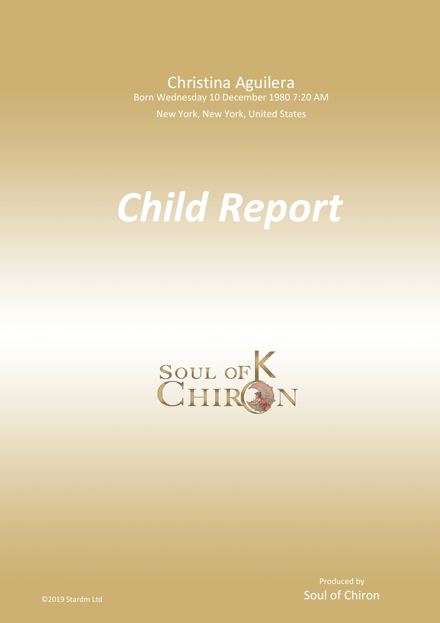Christina Aguilera Born Wednesday 10 December 1980 7:20 AM

New York, New York, United States

# *Child Report*



Produced by Soul of Chiron

©2019 Stardm Ltd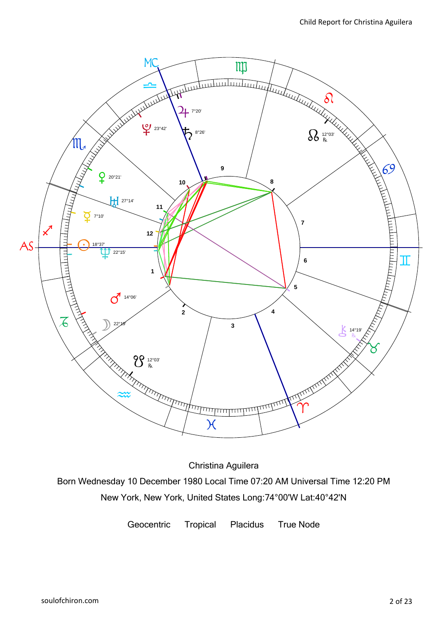

Christina Aguilera

Born Wednesday 10 December 1980 Local Time 07:20 AM Universal Time 12:20 PM New York, New York, United States Long:74°00'W Lat:40°42'N

Geocentric Tropical Placidus True Node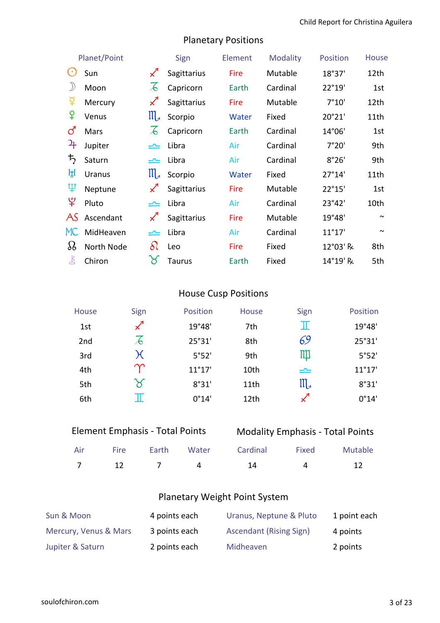| Planet/Point               |               | Sign                      | Element     | <b>Modality</b> | Position | <b>House</b>    |        |
|----------------------------|---------------|---------------------------|-------------|-----------------|----------|-----------------|--------|
| $\left( \cdot \right)$     | Sun           | $\measuredangle$          | Sagittarius | <b>Fire</b>     | Mutable  | 18°37'          | 12th   |
| $\mathcal{Y}$              | Moon          | $\measuredangle$          | Capricorn   | Earth           | Cardinal | 22°19'          | 1st    |
| ទ្                         | Mercury       | $\measuredangle$          | Sagittarius | <b>Fire</b>     | Mutable  | 7°10'           | 12th   |
| ¥                          | Venus         | $\prod_{\mathcal{A}}$     | Scorpio     | Water           | Fixed    | 20°21'          | 11th   |
| ර                          | Mars          | $\mathcal{A}$             | Capricorn   | Earth           | Cardinal | 14°06'          | 1st    |
| $\mathcal{L}_{\mathsf{F}}$ | Jupiter       | یم                        | Libra       | Air             | Cardinal | 7°20'           | 9th    |
| $\bm{\bar{5}}$             | Saturn        | یمی                       | Libra       | Air             | Cardinal | 8°26'           | 9th    |
| ਸ਼੍ਰ                       | <b>Uranus</b> | $\prod_{\mathcal{A}}$     | Scorpio     | Water           | Fixed    | 27°14'          | 11th   |
| ψ                          | Neptune       | $\boldsymbol{\checkmark}$ | Sagittarius | Fire            | Mutable  | 22°15'          | 1st    |
| ೪                          | Pluto         | یمی                       | Libra       | Air             | Cardinal | 23°42'          | 10th   |
| AS                         | Ascendant     | $\boldsymbol{\checkmark}$ | Sagittarius | Fire            | Mutable  | 19°48'          | $\sim$ |
| MC.                        | MidHeaven     | کا                        | Libra       | Air             | Cardinal | $11^{\circ}17'$ | $\sim$ |
| $\Omega$                   | North Node    | $\delta\Omega$            | Leo         | Fire            | Fixed    | 12°03' R        | 8th    |
| Ľ                          | Chiron        | $\aleph$                  | Taurus      | Earth           | Fixed    | 14°19' R        | 5th    |

# Planetary Positions

# House Cusp Positions

| House | Sign                       | <b>Position</b> | House | Sign                 | Position        |
|-------|----------------------------|-----------------|-------|----------------------|-----------------|
| 1st   | $\chi^4$                   | 19°48'          | 7th   | π                    | 19°48'          |
| 2nd   | $\overline{\mathcal{A}}$   | 25°31'          | 8th   | 69                   | 25°31'          |
| 3rd   | K                          | 5°52'           | 9th   | IIII                 | 5°52'           |
| 4th   | $\bm{\gamma}$              | $11^{\circ}17'$ | 10th  | $\rightleftharpoons$ | $11^{\circ}17'$ |
| 5th   | $\boldsymbol{\mathcal{S}}$ | 8°31'           | 11th  | $\mathfrak{m}$       | 8°31'           |
| 6th   |                            | 0°14'           | 12th  | $\mathscr{L}$        | 0°14'           |

# Modality Emphasis - Total Points

|  |  | Air Fire Earth Water Cardinal Fixed Mutable |  |
|--|--|---------------------------------------------|--|
|  |  | 7 12 7 4 14 4 12                            |  |

# Planetary Weight Point System

| Sun & Moon            | 4 points each | Uranus, Neptune & Pluto        | 1 point each |
|-----------------------|---------------|--------------------------------|--------------|
| Mercury, Venus & Mars | 3 points each | <b>Ascendant (Rising Sign)</b> | 4 points     |
| Jupiter & Saturn      | 2 points each | Midheaven                      | 2 points     |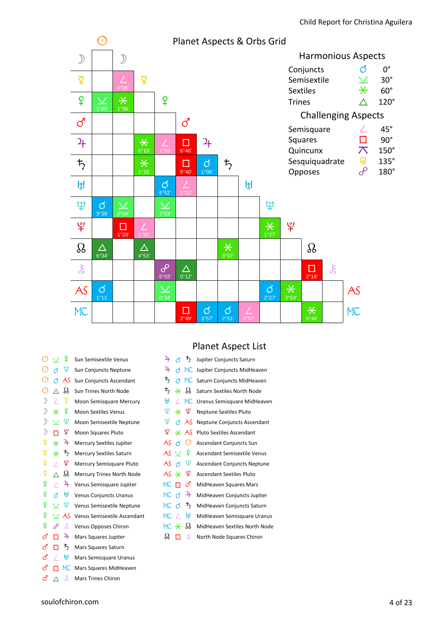

| ⊙             | $\checkmark$ | ₽                     | Sun Semisextile Venus            |
|---------------|--------------|-----------------------|----------------------------------|
| ⊙             | ಗ            | Ψ                     | Sun Conjuncts Neptune            |
| $_{\odot}$    | đ            | AS                    | Sun Conjuncts Ascendant          |
| $_{\odot}$    | $\wedge$     | ஃ                     | <b>Sun Trines North Node</b>     |
| $\mathcal{D}$ | Τ            | ₫                     | Moon Semisquare Mercury          |
| $\mathcal{D}$ | $\star$      | $\mathbf{P}$          | <b>Moon Sextiles Venus</b>       |
| $\mathcal{D}$ | $\checkmark$ | Ψ                     | Moon Semisextile Neptune         |
| $\mathcal{D}$ | п            | ¥                     | <b>Moon Squares Pluto</b>        |
| ₽             | $\star$      | 4                     | <b>Mercury Sextiles Jupiter</b>  |
| ₫             | ⋇            | ₽                     | Mercury Sextiles Saturn          |
| ₫             | Τ            | ¥                     | Mercury Semisquare Pluto         |
| ₽             | Λ            | B                     | <b>Mercury Trines North Node</b> |
| ¥             | Τ            | 27                    | Venus Semisquare Jupiter         |
| ¥             | đ            | ਸ਼੍ਰਿ                 | <b>Venus Conjuncts Uranus</b>    |
| ¥             | $\checkmark$ | Ψ                     | Venus Semisextile Neptune        |
| ¥             | $\checkmark$ | AS                    | Venus Semisextile Ascendant      |
| ¥             | $\sigma$     | Ŗ                     | Venus Opposes Chiron             |
| ්             |              | $\mathbf{a}_\text{F}$ | Mars Squares Jupiter             |
| ර             | п            | $\frac{1}{2}$         | Mars Squares Saturn              |
| ර             | Τ            | H,                    | Mars Semisquare Uranus           |
| ි             |              | MC.                   | Mars Squares MidHeaven           |
|               |              |                       |                                  |

# $\vec{c}$   $\Delta$   $\vec{c}$  Mars Trines Chiron

# Planet Aspect List

| $\mathfrak{p}$  | đ        | $\vec{P}$       | Jupiter Conjuncts Saturn           |
|-----------------|----------|-----------------|------------------------------------|
| 4               |          | d MC            | Jupiter Conjuncts MidHeaven        |
| $\bm{\bar{5}}$  | đ        | MC              | Saturn Conjuncts MidHeaven         |
| $\bm{\tau}_{2}$ |          | $* \mathcal{L}$ | Saturn Sextiles North Node         |
| ĤÎ.             | $\prime$ | МC              | Uranus Semisquare MidHeaven        |
|                 | ∄ * ≴    |                 | <b>Neptune Sextiles Pluto</b>      |
| Ψ               |          | AAS             | Neptune Conjuncts Ascendant        |
| Ψ               |          | $*$ As          | <b>Pluto Sextiles Ascendant</b>    |
| AS d            |          | ⊙               | <b>Ascendant Conjuncts Sun</b>     |
| AS $\vee$       |          | ୍କଦ             | Ascendant Semisextile Venus        |
| AS d            |          | Ψ               | <b>Ascendant Conjuncts Neptune</b> |
| $AS + 4$        |          |                 | <b>Ascendant Sextiles Pluto</b>    |
| мс п            |          | ර               | MidHeaven Squares Mars             |
| MC d            |          | 4               | MidHeaven Conjuncts Jupiter        |
| MC d            |          | $\bm{\ddot{5}}$ | MidHeaven Conjuncts Saturn         |
| $MC$ /          |          | ਸ਼੍ਰ            | MidHeaven Semisquare Uranus        |
| MC *            |          | B               | MidHeaven Sextiles North Node      |
| ՏՏ              | п        | Ľ               | North Node Squares Chiron          |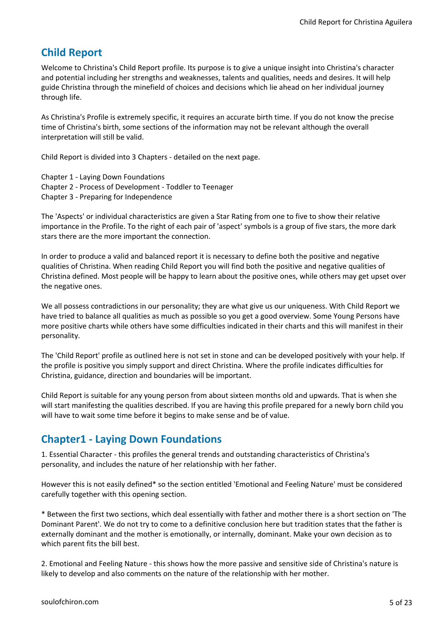# **Child Report**

Welcome to Christina's Child Report profile. Its purpose is to give a unique insight into Christina's character and potential including her strengths and weaknesses, talents and qualities, needs and desires. It will help guide Christina through the minefield of choices and decisions which lie ahead on her individual journey through life.

As Christina's Profile is extremely specific, it requires an accurate birth time. If you do not know the precise time of Christina's birth, some sections of the information may not be relevant although the overall interpretation will still be valid.

Child Report is divided into 3 Chapters - detailed on the next page.

Chapter 1 - Laying Down Foundations

- Chapter 2 Process of Development Toddler to Teenager
- Chapter 3 Preparing for Independence

The 'Aspects' or individual characteristics are given a Star Rating from one to five to show their relative importance in the Profile. To the right of each pair of 'aspect' symbols is a group of five stars, the more dark stars there are the more important the connection.

In order to produce a valid and balanced report it is necessary to define both the positive and negative qualities of Christina. When reading Child Report you will find both the positive and negative qualities of Christina defined. Most people will be happy to learn about the positive ones, while others may get upset over the negative ones.

We all possess contradictions in our personality; they are what give us our uniqueness. With Child Report we have tried to balance all qualities as much as possible so you get a good overview. Some Young Persons have more positive charts while others have some difficulties indicated in their charts and this will manifest in their personality.

The 'Child Report' profile as outlined here is not set in stone and can be developed positively with your help. If the profile is positive you simply support and direct Christina. Where the profile indicates difficulties for Christina, guidance, direction and boundaries will be important.

Child Report is suitable for any young person from about sixteen months old and upwards. That is when she will start manifesting the qualities described. If you are having this profile prepared for a newly born child you will have to wait some time before it begins to make sense and be of value.

# **Chapter1 - Laying Down Foundations**

1. Essential Character - this profiles the general trends and outstanding characteristics of Christina's personality, and includes the nature of her relationship with her father.

However this is not easily defined\* so the section entitled 'Emotional and Feeling Nature' must be considered carefully together with this opening section.

\* Between the first two sections, which deal essentially with father and mother there is a short section on 'The Dominant Parent'. We do not try to come to a definitive conclusion here but tradition states that the father is externally dominant and the mother is emotionally, or internally, dominant. Make your own decision as to which parent fits the bill best.

2. Emotional and Feeling Nature - this shows how the more passive and sensitive side of Christina's nature is likely to develop and also comments on the nature of the relationship with her mother.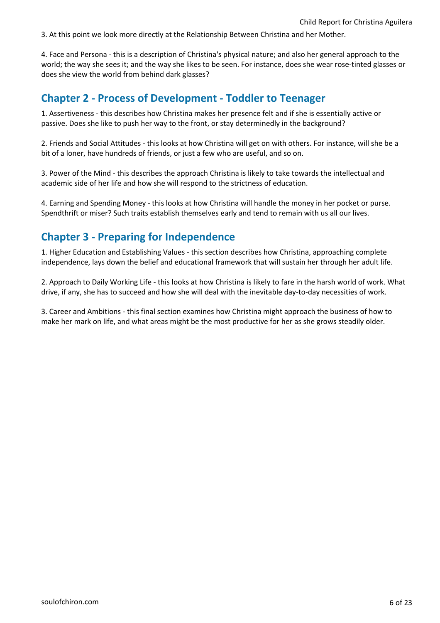3. At this point we look more directly at the Relationship Between Christina and her Mother.

4. Face and Persona - this is a description of Christina's physical nature; and also her general approach to the world; the way she sees it; and the way she likes to be seen. For instance, does she wear rose-tinted glasses or does she view the world from behind dark glasses?

# **Chapter 2 - Process of Development - Toddler to Teenager**

1. Assertiveness - this describes how Christina makes her presence felt and if she is essentially active or passive. Does she like to push her way to the front, or stay determinedly in the background?

2. Friends and Social Attitudes - this looks at how Christina will get on with others. For instance, will she be a bit of a loner, have hundreds of friends, or just a few who are useful, and so on.

3. Power of the Mind - this describes the approach Christina is likely to take towards the intellectual and academic side of her life and how she will respond to the strictness of education.

4. Earning and Spending Money - this looks at how Christina will handle the money in her pocket or purse. Spendthrift or miser? Such traits establish themselves early and tend to remain with us all our lives.

# **Chapter 3 - Preparing for Independence**

1. Higher Education and Establishing Values - this section describes how Christina, approaching complete independence, lays down the belief and educational framework that will sustain her through her adult life.

2. Approach to Daily Working Life - this looks at how Christina is likely to fare in the harsh world of work. What drive, if any, she has to succeed and how she will deal with the inevitable day-to-day necessities of work.

3. Career and Ambitions - this final section examines how Christina might approach the business of how to make her mark on life, and what areas might be the most productive for her as she grows steadily older.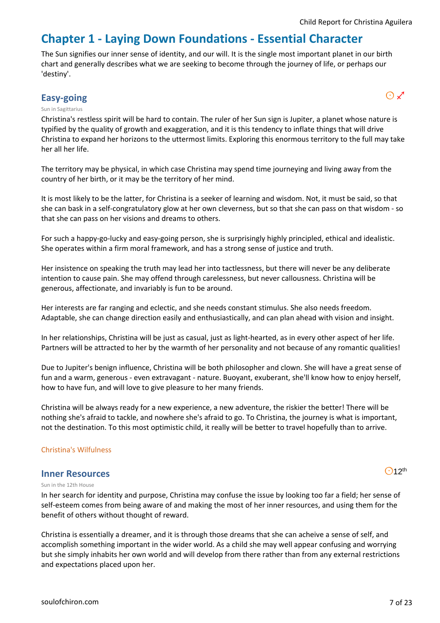# **Chapter 1 - Laying Down Foundations - Essential Character**

The Sun signifies our inner sense of identity, and our will. It is the single most important planet in our birth chart and generally describes what we are seeking to become through the journey of life, or perhaps our 'destiny'.

# **Easy-going** and  $\bigcirc$   $\mathcal{L}$

#### Sun in Sagittarius

Christina's restless spirit will be hard to contain. The ruler of her Sun sign is Jupiter, a planet whose nature is typified by the quality of growth and exaggeration, and it is this tendency to inflate things that will drive Christina to expand her horizons to the uttermost limits. Exploring this enormous territory to the full may take her all her life.

The territory may be physical, in which case Christina may spend time journeying and living away from the country of her birth, or it may be the territory of her mind.

It is most likely to be the latter, for Christina is a seeker of learning and wisdom. Not, it must be said, so that she can bask in a self-congratulatory glow at her own cleverness, but so that she can pass on that wisdom - so that she can pass on her visions and dreams to others.

For such a happy-go-lucky and easy-going person, she is surprisingly highly principled, ethical and idealistic. She operates within a firm moral framework, and has a strong sense of justice and truth.

Her insistence on speaking the truth may lead her into tactlessness, but there will never be any deliberate intention to cause pain. She may offend through carelessness, but never callousness. Christina will be generous, affectionate, and invariably is fun to be around.

Her interests are far ranging and eclectic, and she needs constant stimulus. She also needs freedom. Adaptable, she can change direction easily and enthusiastically, and can plan ahead with vision and insight.

In her relationships, Christina will be just as casual, just as light-hearted, as in every other aspect of her life. Partners will be attracted to her by the warmth of her personality and not because of any romantic qualities!

Due to Jupiter's benign influence, Christina will be both philosopher and clown. She will have a great sense of fun and a warm, generous - even extravagant - nature. Buoyant, exuberant, she'll know how to enjoy herself, how to have fun, and will love to give pleasure to her many friends.

Christina will be always ready for a new experience, a new adventure, the riskier the better! There will be nothing she's afraid to tackle, and nowhere she's afraid to go. To Christina, the journey is what is important, not the destination. To this most optimistic child, it really will be better to travel hopefully than to arrive.

#### Christina's Wilfulness

#### **Inner Resources**

 $O$ 12<sup>th</sup>

#### Sun in the 12th House

In her search for identity and purpose, Christina may confuse the issue by looking too far a field; her sense of self-esteem comes from being aware of and making the most of her inner resources, and using them for the benefit of others without thought of reward.

Christina is essentially a dreamer, and it is through those dreams that she can acheive a sense of self, and accomplish something important in the wider world. As a child she may well appear confusing and worrying but she simply inhabits her own world and will develop from there rather than from any external restrictions and expectations placed upon her.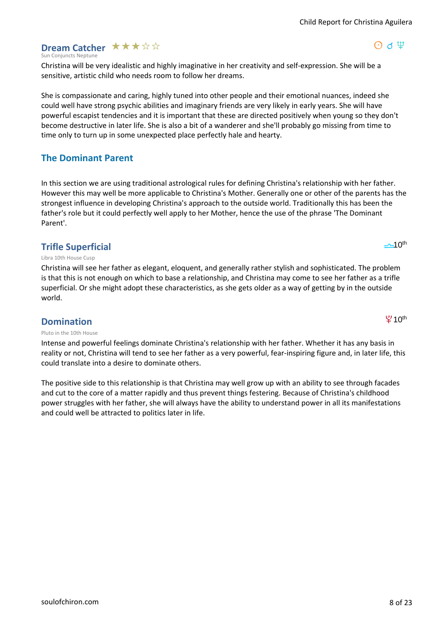# Child Report for Christina Aguilera

 $\Theta$  d  $\Psi$ 

# **Dream Catcher**  $\star \star \star \star \otimes$

Sun Conjuncts Neptune

Christina will be very idealistic and highly imaginative in her creativity and self-expression. She will be a sensitive, artistic child who needs room to follow her dreams.

She is compassionate and caring, highly tuned into other people and their emotional nuances, indeed she could well have strong psychic abilities and imaginary friends are very likely in early years. She will have powerful escapist tendencies and it is important that these are directed positively when young so they don't become destructive in later life. She is also a bit of a wanderer and she'll probably go missing from time to time only to turn up in some unexpected place perfectly hale and hearty.

# **The Dominant Parent**

In this section we are using traditional astrological rules for defining Christina's relationship with her father. However this may well be more applicable to Christina's Mother. Generally one or other of the parents has the strongest influence in developing Christina's approach to the outside world. Traditionally this has been the father's role but it could perfectly well apply to her Mother, hence the use of the phrase 'The Dominant Parent'.

# **Trifle Superficial**

#### Libra 10th House Cusp

Christina will see her father as elegant, eloquent, and generally rather stylish and sophisticated. The problem is that this is not enough on which to base a relationship, and Christina may come to see her father as a trifle superficial. Or she might adopt these characteristics, as she gets older as a way of getting by in the outside world.

# **Domination**

#### Pluto in the 10th House

Intense and powerful feelings dominate Christina's relationship with her father. Whether it has any basis in reality or not, Christina will tend to see her father as a very powerful, fear-inspiring figure and, in later life, this could translate into a desire to dominate others.

The positive side to this relationship is that Christina may well grow up with an ability to see through facades and cut to the core of a matter rapidly and thus prevent things festering. Because of Christina's childhood power struggles with her father, she will always have the ability to understand power in all its manifestations and could well be attracted to politics later in life.



 $40<sup>th</sup>$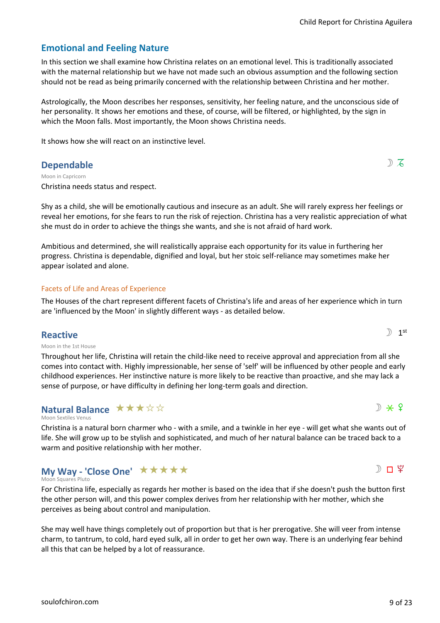# **Emotional and Feeling Nature**

In this section we shall examine how Christina relates on an emotional level. This is traditionally associated with the maternal relationship but we have not made such an obvious assumption and the following section should not be read as being primarily concerned with the relationship between Christina and her mother.

Astrologically, the Moon describes her responses, sensitivity, her feeling nature, and the unconscious side of her personality. It shows her emotions and these, of course, will be filtered, or highlighted, by the sign in which the Moon falls. Most importantly, the Moon shows Christina needs.

It shows how she will react on an instinctive level.

# **Dependable** solution  $\mathbb{D} \nabla$

Christina needs status and respect. Moon in Capricorn

Shy as a child, she will be emotionally cautious and insecure as an adult. She will rarely express her feelings or reveal her emotions, for she fears to run the risk of rejection. Christina has a very realistic appreciation of what she must do in order to achieve the things she wants, and she is not afraid of hard work.

Ambitious and determined, she will realistically appraise each opportunity for its value in furthering her progress. Christina is dependable, dignified and loyal, but her stoic self-reliance may sometimes make her appear isolated and alone.

## Facets of Life and Areas of Experience

The Houses of the chart represent different facets of Christina's life and areas of her experience which in turn are 'influenced by the Moon' in slightly different ways - as detailed below.

# **Reactive**

Moon in the 1st House

Throughout her life, Christina will retain the child-like need to receive approval and appreciation from all she comes into contact with. Highly impressionable, her sense of 'self' will be influenced by other people and early childhood experiences. Her instinctive nature is more likely to be reactive than proactive, and she may lack a sense of purpose, or have difficulty in defining her long-term goals and direction.

#### Moon Sextiles Venus **Natural Balance ★★★☆☆**

Christina is a natural born charmer who - with a smile, and a twinkle in her eye - will get what she wants out of life. She will grow up to be stylish and sophisticated, and much of her natural balance can be traced back to a warm and positive relationship with her mother.

#### Moon Squares Pluto **My Way - 'Close One'** \*\*\*\*\*

For Christina life, especially as regards her mother is based on the idea that if she doesn't push the button first the other person will, and this power complex derives from her relationship with her mother, which she perceives as being about control and manipulation.

She may well have things completely out of proportion but that is her prerogative. She will veer from intense charm, to tantrum, to cold, hard eyed sulk, all in order to get her own way. There is an underlying fear behind all this that can be helped by a lot of reassurance.

 $\mathbb{D}$  1<sup>st</sup>

 $D \times 9$ 

 $D \Pi$   $2$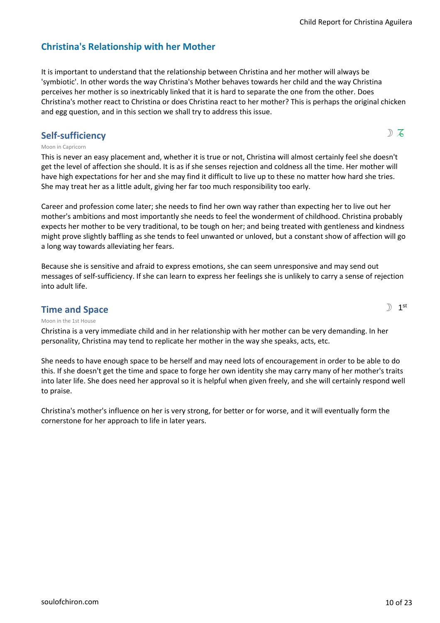# **Christina's Relationship with her Mother**

It is important to understand that the relationship between Christina and her mother will always be 'symbiotic'. In other words the way Christina's Mother behaves towards her child and the way Christina perceives her mother is so inextricably linked that it is hard to separate the one from the other. Does Christina's mother react to Christina or does Christina react to her mother? This is perhaps the original chicken and egg question, and in this section we shall try to address this issue.

# **Self-sufficiency**  $\mathbb{D} \nabla$

 $\mathbb{D}$  1<sup>st</sup>

## Moon in Capricorn

This is never an easy placement and, whether it is true or not, Christina will almost certainly feel she doesn't get the level of affection she should. It is as if she senses rejection and coldness all the time. Her mother will have high expectations for her and she may find it difficult to live up to these no matter how hard she tries. She may treat her as a little adult, giving her far too much responsibility too early.

Career and profession come later; she needs to find her own way rather than expecting her to live out her mother's ambitions and most importantly she needs to feel the wonderment of childhood. Christina probably expects her mother to be very traditional, to be tough on her; and being treated with gentleness and kindness might prove slightly baffling as she tends to feel unwanted or unloved, but a constant show of affection will go a long way towards alleviating her fears.

Because she is sensitive and afraid to express emotions, she can seem unresponsive and may send out messages of self-sufficiency. If she can learn to express her feelings she is unlikely to carry a sense of rejection into adult life.

# **Time and Space**

Moon in the 1st House

Christina is a very immediate child and in her relationship with her mother can be very demanding. In her personality, Christina may tend to replicate her mother in the way she speaks, acts, etc.

She needs to have enough space to be herself and may need lots of encouragement in order to be able to do this. If she doesn't get the time and space to forge her own identity she may carry many of her mother's traits into later life. She does need her approval so it is helpful when given freely, and she will certainly respond well to praise.

Christina's mother's influence on her is very strong, for better or for worse, and it will eventually form the cornerstone for her approach to life in later years.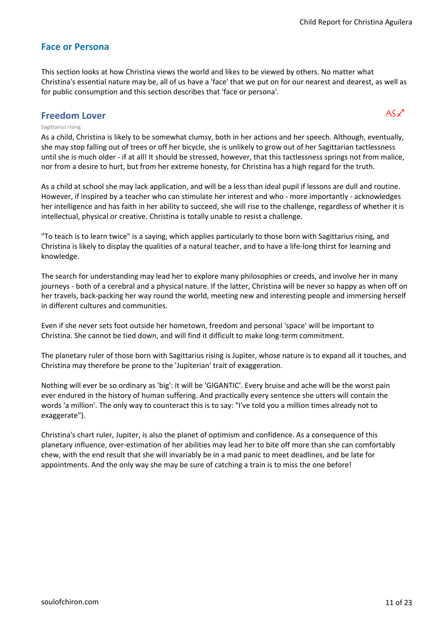# **Face or Persona**

This section looks at how Christina views the world and likes to be viewed by others. No matter what Christina's essential nature may be, all of us have a 'face' that we put on for our nearest and dearest, as well as for public consumption and this section describes that 'face or persona'.

# **Freedom Lover**  $AS \times 1$

#### Sagittarius rising

As a child, Christina is likely to be somewhat clumsy, both in her actions and her speech. Although, eventually, she may stop falling out of trees or off her bicycle, she is unlikely to grow out of her Sagittarian tactlessness until she is much older - if at all! It should be stressed, however, that this tactlessness springs not from malice, nor from a desire to hurt, but from her extreme honesty, for Christina has a high regard for the truth.

As a child at school she may lack application, and will be a less than ideal pupil if lessons are dull and routine. However, if inspired by a teacher who can stimulate her interest and who - more importantly - acknowledges her intelligence and has faith in her ability to succeed, she will rise to the challenge, regardless of whether it is intellectual, physical or creative. Christina is totally unable to resist a challenge.

"To teach is to learn twice" is a saying, which applies particularly to those born with Sagittarius rising, and Christina is likely to display the qualities of a natural teacher, and to have a life-long thirst for learning and knowledge.

The search for understanding may lead her to explore many philosophies or creeds, and involve her in many journeys - both of a cerebral and a physical nature. If the latter, Christina will be never so happy as when off on her travels, back-packing her way round the world, meeting new and interesting people and immersing herself in different cultures and communities.

Even if she never sets foot outside her hometown, freedom and personal 'space' will be important to Christina. She cannot be tied down, and will find it difficult to make long-term commitment.

The planetary ruler of those born with Sagittarius rising is Jupiter, whose nature is to expand all it touches, and Christina may therefore be prone to the 'Jupiterian' trait of exaggeration.

Nothing will ever be so ordinary as 'big': it will be 'GIGANTIC'. Every bruise and ache will be the worst pain ever endured in the history of human suffering. And practically every sentence she utters will contain the words 'a million'. The only way to counteract this is to say: "I've told you a million times already not to exaggerate").

Christina's chart ruler, Jupiter, is also the planet of optimism and confidence. As a consequence of this planetary influence, over-estimation of her abilities may lead her to bite off more than she can comfortably chew, with the end result that she will invariably be in a mad panic to meet deadlines, and be late for appointments. And the only way she may be sure of catching a train is to miss the one before!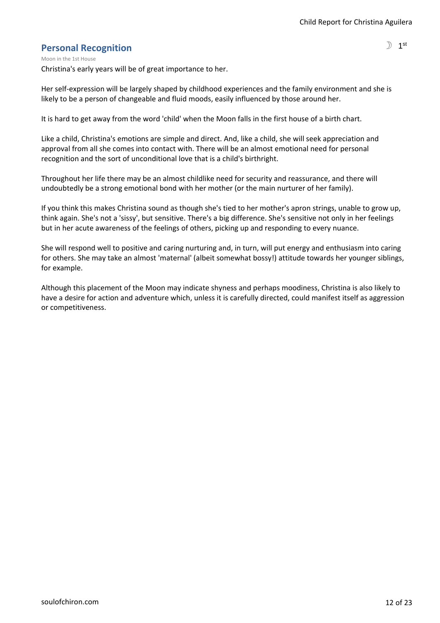# **Personal Recognition**

Christina's early years will be of great importance to her. Moon in the 1st House

Her self-expression will be largely shaped by childhood experiences and the family environment and she is likely to be a person of changeable and fluid moods, easily influenced by those around her.

It is hard to get away from the word 'child' when the Moon falls in the first house of a birth chart.

Like a child, Christina's emotions are simple and direct. And, like a child, she will seek appreciation and approval from all she comes into contact with. There will be an almost emotional need for personal recognition and the sort of unconditional love that is a child's birthright.

Throughout her life there may be an almost childlike need for security and reassurance, and there will undoubtedly be a strong emotional bond with her mother (or the main nurturer of her family).

If you think this makes Christina sound as though she's tied to her mother's apron strings, unable to grow up, think again. She's not a 'sissy', but sensitive. There's a big difference. She's sensitive not only in her feelings but in her acute awareness of the feelings of others, picking up and responding to every nuance.

She will respond well to positive and caring nurturing and, in turn, will put energy and enthusiasm into caring for others. She may take an almost 'maternal' (albeit somewhat bossy!) attitude towards her younger siblings, for example.

Although this placement of the Moon may indicate shyness and perhaps moodiness, Christina is also likely to have a desire for action and adventure which, unless it is carefully directed, could manifest itself as aggression or competitiveness.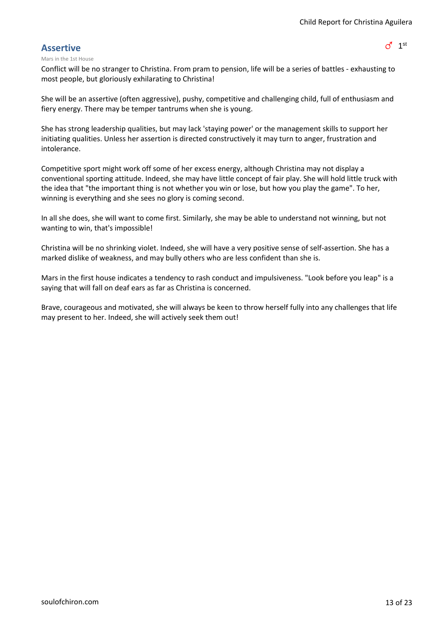$\sigma$ <sup>1 st</sup>

# **Assertive**

#### Mars in the 1st House

Conflict will be no stranger to Christina. From pram to pension, life will be a series of battles - exhausting to most people, but gloriously exhilarating to Christina!

She will be an assertive (often aggressive), pushy, competitive and challenging child, full of enthusiasm and fiery energy. There may be temper tantrums when she is young.

She has strong leadership qualities, but may lack 'staying power' or the management skills to support her initiating qualities. Unless her assertion is directed constructively it may turn to anger, frustration and intolerance.

Competitive sport might work off some of her excess energy, although Christina may not display a conventional sporting attitude. Indeed, she may have little concept of fair play. She will hold little truck with the idea that "the important thing is not whether you win or lose, but how you play the game". To her, winning is everything and she sees no glory is coming second.

In all she does, she will want to come first. Similarly, she may be able to understand not winning, but not wanting to win, that's impossible!

Christina will be no shrinking violet. Indeed, she will have a very positive sense of self-assertion. She has a marked dislike of weakness, and may bully others who are less confident than she is.

Mars in the first house indicates a tendency to rash conduct and impulsiveness. "Look before you leap" is a saying that will fall on deaf ears as far as Christina is concerned.

Brave, courageous and motivated, she will always be keen to throw herself fully into any challenges that life may present to her. Indeed, she will actively seek them out!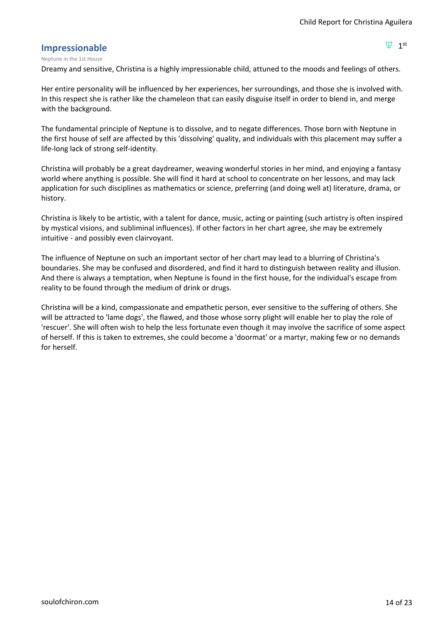$\Psi$  1st

# **Impressionable**

#### Neptune in the 1st House

Dreamy and sensitive, Christina is a highly impressionable child, attuned to the moods and feelings of others.

Her entire personality will be influenced by her experiences, her surroundings, and those she is involved with. In this respect she is rather like the chameleon that can easily disguise itself in order to blend in, and merge with the background.

The fundamental principle of Neptune is to dissolve, and to negate differences. Those born with Neptune in the first house of self are affected by this 'dissolving' quality, and individuals with this placement may suffer a life-long lack of strong self-identity.

Christina will probably be a great daydreamer, weaving wonderful stories in her mind, and enjoying a fantasy world where anything is possible. She will find it hard at school to concentrate on her lessons, and may lack application for such disciplines as mathematics or science, preferring (and doing well at) literature, drama, or history.

Christina is likely to be artistic, with a talent for dance, music, acting or painting (such artistry is often inspired by mystical visions, and subliminal influences). If other factors in her chart agree, she may be extremely intuitive - and possibly even clairvoyant.

The influence of Neptune on such an important sector of her chart may lead to a blurring of Christina's boundaries. She may be confused and disordered, and find it hard to distinguish between reality and illusion. And there is always a temptation, when Neptune is found in the first house, for the individual's escape from reality to be found through the medium of drink or drugs.

Christina will be a kind, compassionate and empathetic person, ever sensitive to the suffering of others. She will be attracted to 'lame dogs', the flawed, and those whose sorry plight will enable her to play the role of 'rescuer'. She will often wish to help the less fortunate even though it may involve the sacrifice of some aspect of herself. If this is taken to extremes, she could become a 'doormat' or a martyr, making few or no demands for herself.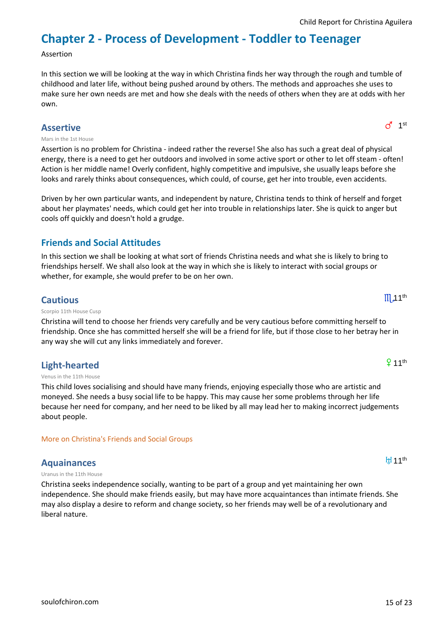# **Chapter 2 - Process of Development - Toddler to Teenager**

#### Assertion

In this section we will be looking at the way in which Christina finds her way through the rough and tumble of childhood and later life, without being pushed around by others. The methods and approaches she uses to make sure her own needs are met and how she deals with the needs of others when they are at odds with her own.

# **Assertive**

#### Mars in the 1st House

Assertion is no problem for Christina - indeed rather the reverse! She also has such a great deal of physical energy, there is a need to get her outdoors and involved in some active sport or other to let off steam - often! Action is her middle name! Overly confident, highly competitive and impulsive, she usually leaps before she looks and rarely thinks about consequences, which could, of course, get her into trouble, even accidents.

Driven by her own particular wants, and independent by nature, Christina tends to think of herself and forget about her playmates' needs, which could get her into trouble in relationships later. She is quick to anger but cools off quickly and doesn't hold a grudge.

# **Friends and Social Attitudes**

In this section we shall be looking at what sort of friends Christina needs and what she is likely to bring to friendships herself. We shall also look at the way in which she is likely to interact with social groups or whether, for example, she would prefer to be on her own.

# **Cautious**

#### Scorpio 11th House Cusp

Christina will tend to choose her friends very carefully and be very cautious before committing herself to friendship. Once she has committed herself she will be a friend for life, but if those close to her betray her in any way she will cut any links immediately and forever.

# **Light-hearted**

#### Venus in the 11th House

This child loves socialising and should have many friends, enjoying especially those who are artistic and moneyed. She needs a busy social life to be happy. This may cause her some problems through her life because her need for company, and her need to be liked by all may lead her to making incorrect judgements about people.

## More on Christina's Friends and Social Groups

# **Aquainances**

Uranus in the 11th House

Christina seeks independence socially, wanting to be part of a group and yet maintaining her own independence. She should make friends easily, but may have more acquaintances than intimate friends. She may also display a desire to reform and change society, so her friends may well be of a revolutionary and liberal nature.

[soulofchiron.com](https://soulofchiron.com/) 15 of 23

 $911<sup>th</sup>$ 

**H**11<sup>th</sup>

 $d^{\text{1}}$  1st

 $III<sub>4</sub>11<sup>th</sup>$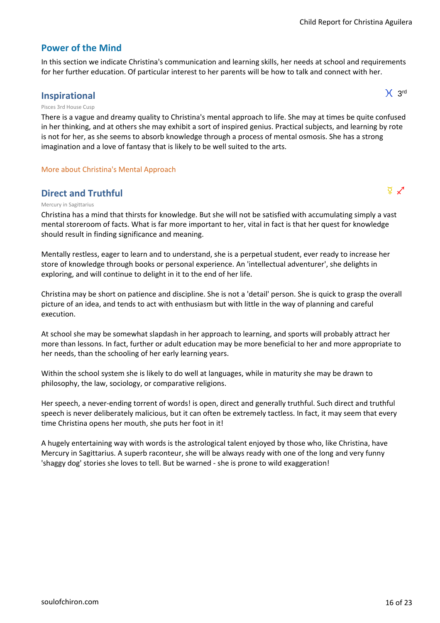$X<sub>3rd</sub>$ 

# **Power of the Mind**

In this section we indicate Christina's communication and learning skills, her needs at school and requirements for her further education. Of particular interest to her parents will be how to talk and connect with her.

# **Inspirational**

Pisces 3rd House Cusp

There is a vague and dreamy quality to Christina's mental approach to life. She may at times be quite confused in her thinking, and at others she may exhibit a sort of inspired genius. Practical subjects, and learning by rote is not for her, as she seems to absorb knowledge through a process of mental osmosis. She has a strong imagination and a love of fantasy that is likely to be well suited to the arts.

# More about Christina's Mental Approach

# **Direct and Truthful**  $\qquad \qquad \qquad$

#### Mercury in Sagittarius

Christina has a mind that thirsts for knowledge. But she will not be satisfied with accumulating simply a vast mental storeroom of facts. What is far more important to her, vital in fact is that her quest for knowledge should result in finding significance and meaning.

Mentally restless, eager to learn and to understand, she is a perpetual student, ever ready to increase her store of knowledge through books or personal experience. An 'intellectual adventurer', she delights in exploring, and will continue to delight in it to the end of her life.

Christina may be short on patience and discipline. She is not a 'detail' person. She is quick to grasp the overall picture of an idea, and tends to act with enthusiasm but with little in the way of planning and careful execution.

At school she may be somewhat slapdash in her approach to learning, and sports will probably attract her more than lessons. In fact, further or adult education may be more beneficial to her and more appropriate to her needs, than the schooling of her early learning years.

Within the school system she is likely to do well at languages, while in maturity she may be drawn to philosophy, the law, sociology, or comparative religions.

Her speech, a never-ending torrent of words! is open, direct and generally truthful. Such direct and truthful speech is never deliberately malicious, but it can often be extremely tactless. In fact, it may seem that every time Christina opens her mouth, she puts her foot in it!

A hugely entertaining way with words is the astrological talent enjoyed by those who, like Christina, have Mercury in Sagittarius. A superb raconteur, she will be always ready with one of the long and very funny 'shaggy dog' stories she loves to tell. But be warned - she is prone to wild exaggeration!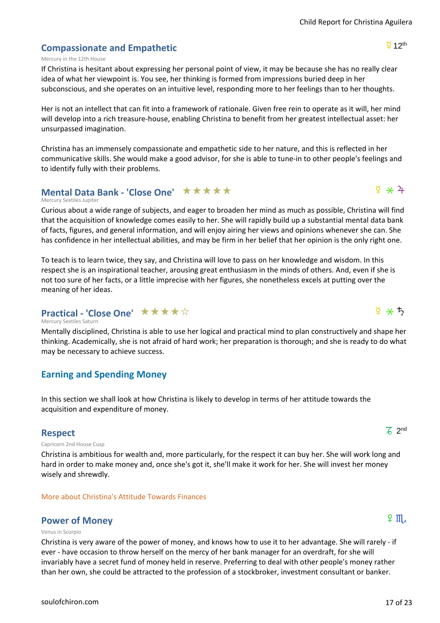# **Compassionate and Empathetic**

#### Mercury in the 12th House

If Christina is hesitant about expressing her personal point of view, it may be because she has no really clear idea of what her viewpoint is. You see, her thinking is formed from impressions buried deep in her subconscious, and she operates on an intuitive level, responding more to her feelings than to her thoughts.

Her is not an intellect that can fit into a framework of rationale. Given free rein to operate as it will, her mind will develop into a rich treasure-house, enabling Christina to benefit from her greatest intellectual asset: her unsurpassed imagination.

Christina has an immensely compassionate and empathetic side to her nature, and this is reflected in her communicative skills. She would make a good advisor, for she is able to tune-in to other people's feelings and to identify fully with their problems.

# **Mental Data Bank - 'Close One' ★★★★★**

#### Mercury Sextiles Jupiter

Curious about a wide range of subjects, and eager to broaden her mind as much as possible, Christina will find that the acquisition of knowledge comes easily to her. She will rapidly build up a substantial mental data bank of facts, figures, and general information, and will enjoy airing her views and opinions whenever she can. She has confidence in her intellectual abilities, and may be firm in her belief that her opinion is the only right one.

To teach is to learn twice, they say, and Christina will love to pass on her knowledge and wisdom. In this respect she is an inspirational teacher, arousing great enthusiasm in the minds of others. And, even if she is not too sure of her facts, or a little imprecise with her figures, she nonetheless excels at putting over the meaning of her ideas.

# **Practical - 'Close One'** ★ ★ ★ ★ ☆

Mercury Sextiles Saturn

Mentally disciplined, Christina is able to use her logical and practical mind to plan constructively and shape her thinking. Academically, she is not afraid of hard work; her preparation is thorough; and she is ready to do what may be necessary to achieve success.

# **Earning and Spending Money**

In this section we shall look at how Christina is likely to develop in terms of her attitude towards the acquisition and expenditure of money.

# **Respect**

Capricorn 2nd House Cusp

Christina is ambitious for wealth and, more particularly, for the respect it can buy her. She will work long and hard in order to make money and, once she's got it, she'll make it work for her. She will invest her money wisely and shrewdly.

# More about Christina's Attitude Towards Finances

# **Power of Money f** 8  $\mathbb{H}$

#### Venus in Scorpio

Christina is very aware of the power of money, and knows how to use it to her advantage. She will rarely - if ever - have occasion to throw herself on the mercy of her bank manager for an overdraft, for she will invariably have a secret fund of money held in reserve. Preferring to deal with other people's money rather than her own, she could be attracted to the profession of a stockbroker, investment consultant or banker.

# $\overline{6}$  2<sup>nd</sup>

# $\frac{5}{4}$   $\frac{4}{4}$

 $\overline{2}$  12<sup>th</sup>

# $\frac{5}{4}$   $\star$   $\frac{1}{2}$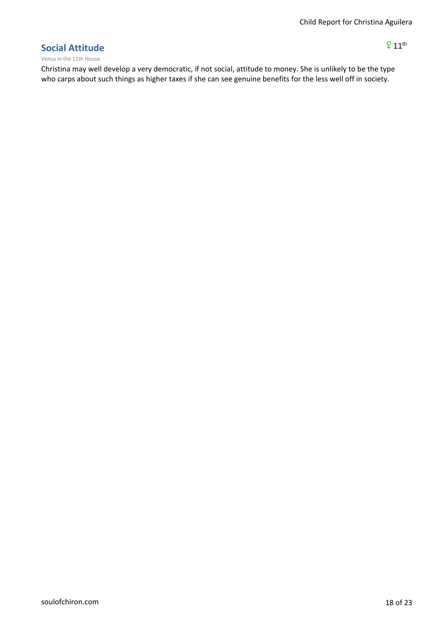$911<sup>th</sup>$ 

# **Social Attitude**

Venus in the 11th House

Christina may well develop a very democratic, if not social, attitude to money. She is unlikely to be the type who carps about such things as higher taxes if she can see genuine benefits for the less well off in society.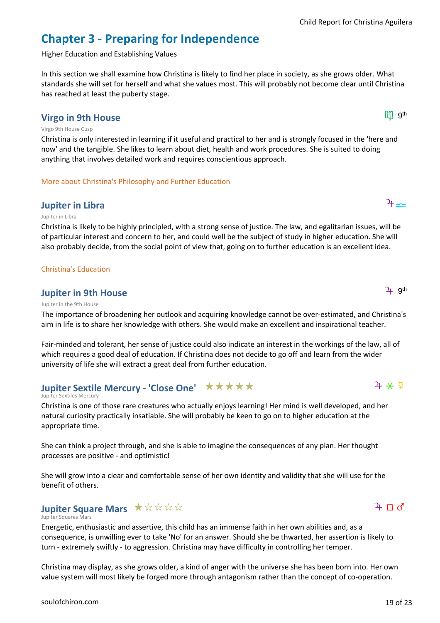# **Chapter 3 - Preparing for Independence**

Higher Education and Establishing Values

In this section we shall examine how Christina is likely to find her place in society, as she grows older. What standards she will set for herself and what she values most. This will probably not become clear until Christina has reached at least the puberty stage.

# **Virgo in 9th House**

#### Virgo 9th House Cusp

Christina is only interested in learning if it useful and practical to her and is strongly focused in the 'here and now' and the tangible. She likes to learn about diet, health and work procedures. She is suited to doing anything that involves detailed work and requires conscientious approach.

More about Christina's Philosophy and Further Education

# **Jupiter in Libra** h7

#### Jupiter in Libra

Christina is likely to be highly principled, with a strong sense of justice. The law, and egalitarian issues, will be of particular interest and concern to her, and could well be the subject of study in higher education. She will also probably decide, from the social point of view that, going on to further education is an excellent idea.

#### Christina's Education

# **Jupiter in 9th House**

#### Jupiter in the 9th House

The importance of broadening her outlook and acquiring knowledge cannot be over-estimated, and Christina's aim in life is to share her knowledge with others. She would make an excellent and inspirational teacher.

Fair-minded and tolerant, her sense of justice could also indicate an interest in the workings of the law, all of which requires a good deal of education. If Christina does not decide to go off and learn from the wider university of life she will extract a great deal from further education.

# **Jupiter Sextile Mercury - 'Close One' ★★★★★**

#### Jupiter Sextiles Mercury

Christina is one of those rare creatures who actually enjoys learning! Her mind is well developed, and her natural curiosity practically insatiable. She will probably be keen to go on to higher education at the appropriate time.

She can think a project through, and she is able to imagine the consequences of any plan. Her thought processes are positive - and optimistic!

She will grow into a clear and comfortable sense of her own identity and validity that she will use for the benefit of others.

# **Jupiter Square Mars** ★☆☆☆☆

#### Jupiter Squares Mars

Energetic, enthusiastic and assertive, this child has an immense faith in her own abilities and, as a consequence, is unwilling ever to take 'No' for an answer. Should she be thwarted, her assertion is likely to turn - extremely swiftly - to aggression. Christina may have difficulty in controlling her temper.

Christina may display, as she grows older, a kind of anger with the universe she has been born into. Her own value system will most likely be forged more through antagonism rather than the concept of co-operation.

# $4 * 9$

 $4 \pi d$ 

 $III$   $9<sup>th</sup>$ 

 $2+$  g<sup>th</sup>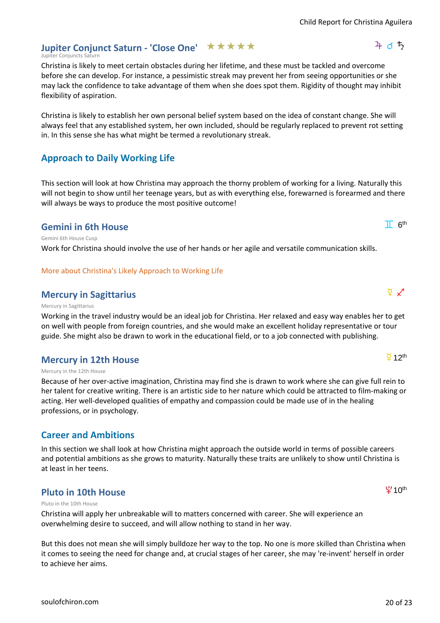$4d5$ 

# Jupiter Conjunct Saturn - 'Close One' **★ ★ ★ ★ ★**

Jupiter Conjuncts Saturn

Christina is likely to meet certain obstacles during her lifetime, and these must be tackled and overcome before she can develop. For instance, a pessimistic streak may prevent her from seeing opportunities or she may lack the confidence to take advantage of them when she does spot them. Rigidity of thought may inhibit flexibility of aspiration.

Christina is likely to establish her own personal belief system based on the idea of constant change. She will always feel that any established system, her own included, should be regularly replaced to prevent rot setting in. In this sense she has what might be termed a revolutionary streak.

# **Approach to Daily Working Life**

This section will look at how Christina may approach the thorny problem of working for a living. Naturally this will not begin to show until her teenage years, but as with everything else, forewarned is forearmed and there will always be ways to produce the most positive outcome!

# **Gemini in 6th House**

Gemini 6th House Cusp

Work for Christina should involve the use of her hands or her agile and versatile communication skills.

## More about Christina's Likely Approach to Working Life

# **Mercury in Sagittarius** d 9  $\times$ <sup>7</sup>

#### Mercury in Sagittarius

Working in the travel industry would be an ideal job for Christina. Her relaxed and easy way enables her to get on well with people from foreign countries, and she would make an excellent holiday representative or tour guide. She might also be drawn to work in the educational field, or to a job connected with publishing.

# **Mercury in 12th House**

#### Mercury in the 12th House

Because of her over-active imagination, Christina may find she is drawn to work where she can give full rein to her talent for creative writing. There is an artistic side to her nature which could be attracted to film-making or acting. Her well-developed qualities of empathy and compassion could be made use of in the healing professions, or in psychology.

# **Career and Ambitions**

In this section we shall look at how Christina might approach the outside world in terms of possible careers and potential ambitions as she grows to maturity. Naturally these traits are unlikely to show until Christina is at least in her teens.

# **Pluto in 10th House**

#### Pluto in the 10th House

Christina will apply her unbreakable will to matters concerned with career. She will experience an overwhelming desire to succeed, and will allow nothing to stand in her way.

But this does not mean she will simply bulldoze her way to the top. No one is more skilled than Christina when it comes to seeing the need for change and, at crucial stages of her career, she may 're-invent' herself in order to achieve her aims.

 $T$   $6<sup>th</sup>$ 

# $\overline{2}$  12<sup>th</sup>

 $40<sup>th</sup>$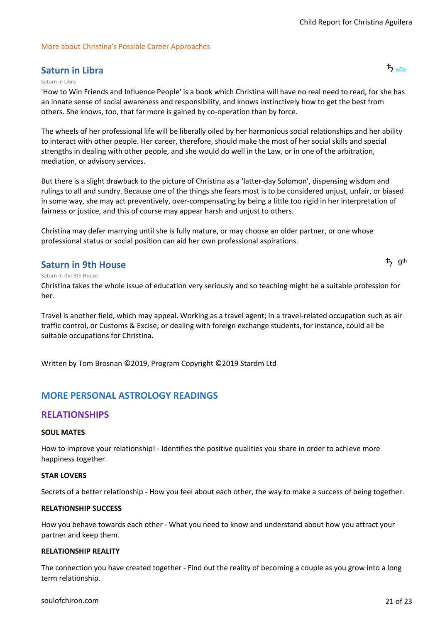#### More about Christina's Possible Career Approaches

# **Saturn in Libra** j 7

#### Saturn in Libra

'How to Win Friends and Influence People' is a book which Christina will have no real need to read, for she has an innate sense of social awareness and responsibility, and knows instinctively how to get the best from others. She knows, too, that far more is gained by co-operation than by force.

The wheels of her professional life will be liberally oiled by her harmonious social relationships and her ability to interact with other people. Her career, therefore, should make the most of her social skills and special strengths in dealing with other people, and she would do well in the Law, or in one of the arbitration, mediation, or advisory services.

But there is a slight drawback to the picture of Christina as a 'latter-day Solomon', dispensing wisdom and rulings to all and sundry. Because one of the things she fears most is to be considered unjust, unfair, or biased in some way, she may act preventively, over-compensating by being a little too rigid in her interpretation of fairness or justice, and this of course may appear harsh and unjust to others.

Christina may defer marrying until she is fully mature, or may choose an older partner, or one whose professional status or social position can aid her own professional aspirations.

# **Saturn in 9th House**

ち 9<sup>th</sup>

#### Saturn in the 9th House

Christina takes the whole issue of education very seriously and so teaching might be a suitable profession for her.

Travel is another field, which may appeal. Working as a travel agent; in a travel-related occupation such as air traffic control, or Customs & Excise; or dealing with foreign exchange students, for instance, could all be suitable occupations for Christina.

Written by Tom Brosnan ©2019, Program Copyright ©2019 Stardm Ltd

# **MORE PERSONAL ASTROLOGY READINGS**

# **RELATIONSHIPS**

#### **SOUL MATES**

How to improve your relationship! - Identifies the positive qualities you share in order to achieve more happiness together.

#### **STAR LOVERS**

Secrets of a better relationship - How you feel about each other, the way to make a success of being together.

#### **RELATIONSHIP SUCCESS**

How you behave towards each other - What you need to know and understand about how you attract your partner and keep them.

#### **RELATIONSHIP REALITY**

The connection you have created together - Find out the reality of becoming a couple as you grow into a long term relationship.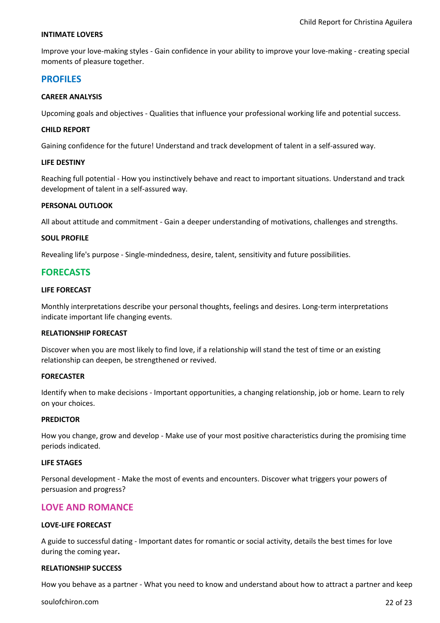#### **INTIMATE LOVERS**

Improve your love-making styles - Gain confidence in your ability to improve your love-making - creating special moments of pleasure together.

## **PROFILES**

#### **CAREER ANALYSIS**

Upcoming goals and objectives - Qualities that influence your professional working life and potential success.

#### **CHILD REPORT**

Gaining confidence for the future! Understand and track development of talent in a self-assured way.

#### **LIFE DESTINY**

Reaching full potential - How you instinctively behave and react to important situations. Understand and track development of talent in a self-assured way.

#### **PERSONAL OUTLOOK**

All about attitude and commitment - Gain a deeper understanding of motivations, challenges and strengths.

#### **SOUL PROFILE**

Revealing life's purpose - Single-mindedness, desire, talent, sensitivity and future possibilities.

# **FORECASTS**

#### **LIFE FORECAST**

Monthly interpretations describe your personal thoughts, feelings and desires. Long-term interpretations indicate important life changing events.

#### **RELATIONSHIP FORECAST**

Discover when you are most likely to find love, if a relationship will stand the test of time or an existing relationship can deepen, be strengthened or revived.

#### **FORECASTER**

Identify when to make decisions - Important opportunities, a changing relationship, job or home. Learn to rely on your choices.

#### **PREDICTOR**

How you change, grow and develop - Make use of your most positive characteristics during the promising time periods indicated.

#### **LIFE STAGES**

Personal development - Make the most of events and encounters. Discover what triggers your powers of persuasion and progress?

## **LOVE AND ROMANCE**

#### **LOVE-LIFE FORECAST**

A guide to successful dating - Important dates for romantic or social activity, details the best times for love during the coming year**.**

#### **RELATIONSHIP SUCCESS**

How you behave as a partner - What you need to know and understand about how to attract a partner and keep

[soulofchiron.com](https://soulofchiron.com/) 22 of 23